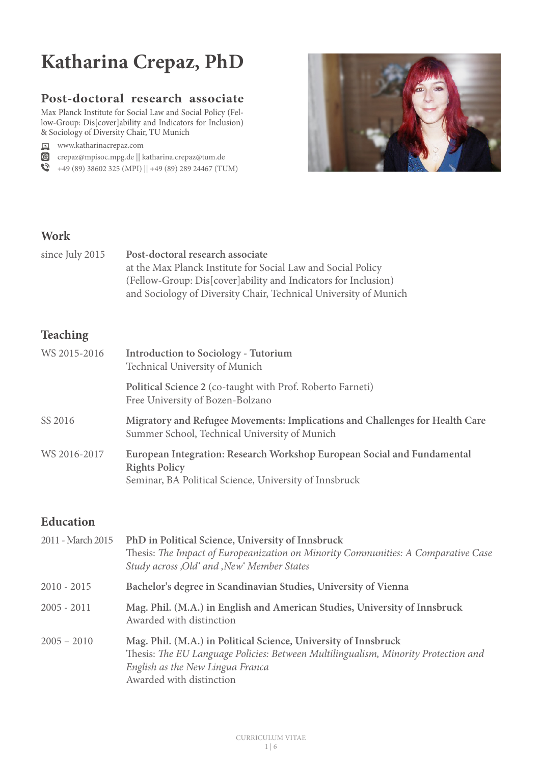### **Post-doctoral research associate**

Max Planck Institute for Social Law and Social Policy (Fellow-Group: Dis[cover]ability and Indicators for Inclusion) & Sociology of Diversity Chair, TU Munich

www.katharinacrepaz.com

crepaz@mpisoc.mpg.de || katharina.crepaz@tum.de

 $\bigotimes$  +49 (89) 38602 325 (MPI) || +49 (89) 289 24467 (TUM)



## **Work**

since July 2015 **Post-doctoral research associate** at the Max Planck Institute for Social Law and Social Policy (Fellow-Group: Dis[cover]ability and Indicators for Inclusion) and Sociology of Diversity Chair, Technical University of Munich

## **Teaching**

| WS 2015-2016 | <b>Introduction to Sociology - Tutorium</b><br>Technical University of Munich                                                                             |
|--------------|-----------------------------------------------------------------------------------------------------------------------------------------------------------|
|              | Political Science 2 (co-taught with Prof. Roberto Farneti)<br>Free University of Bozen-Bolzano                                                            |
| SS 2016      | Migratory and Refugee Movements: Implications and Challenges for Health Care<br>Summer School, Technical University of Munich                             |
| WS 2016-2017 | European Integration: Research Workshop European Social and Fundamental<br><b>Rights Policy</b><br>Seminar, BA Political Science, University of Innsbruck |

### **Education**

| 2011 - March 2015 | PhD in Political Science, University of Innsbruck<br>Thesis: The Impact of Europeanization on Minority Communities: A Comparative Case<br>Study across , Old' and , New' Member States                                |
|-------------------|-----------------------------------------------------------------------------------------------------------------------------------------------------------------------------------------------------------------------|
| $2010 - 2015$     | Bachelor's degree in Scandinavian Studies, University of Vienna                                                                                                                                                       |
| $2005 - 2011$     | Mag. Phil. (M.A.) in English and American Studies, University of Innsbruck<br>Awarded with distinction                                                                                                                |
| $2005 - 2010$     | Mag. Phil. (M.A.) in Political Science, University of Innsbruck<br>Thesis: The EU Language Policies: Between Multilingualism, Minority Protection and<br>English as the New Lingua Franca<br>Awarded with distinction |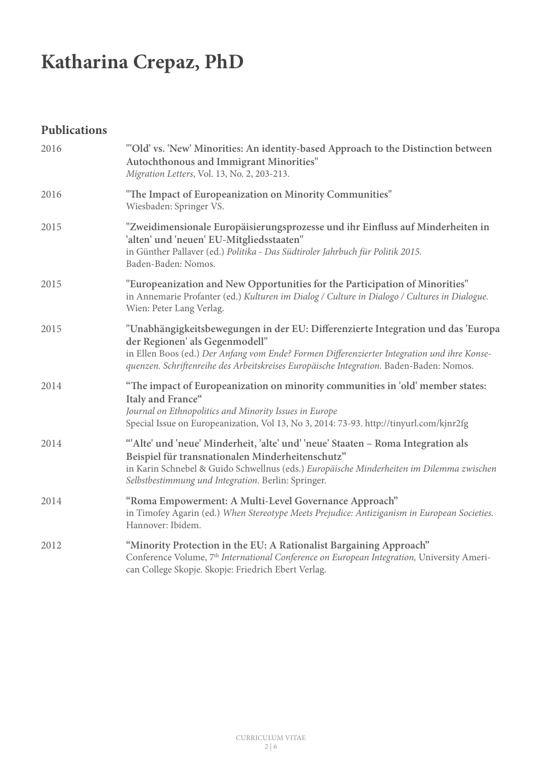## **Publications**

| 2016 | "'Old' vs. 'New' Minorities: An identity-based Approach to the Distinction between<br>Autochthonous and Immigrant Minorities"<br>Migration Letters, Vol. 13, No. 2, 203-213.                                                                                                                                 |
|------|--------------------------------------------------------------------------------------------------------------------------------------------------------------------------------------------------------------------------------------------------------------------------------------------------------------|
| 2016 | "The Impact of Europeanization on Minority Communities"<br>Wiesbaden: Springer VS.                                                                                                                                                                                                                           |
| 2015 | "Zweidimensionale Europäisierungsprozesse und ihr Einfluss auf Minderheiten in<br>'alten' und 'neuen' EU-Mitgliedsstaaten"<br>in Günther Pallaver (ed.) Politika - Das Südtiroler Jahrbuch für Politik 2015.<br>Baden-Baden: Nomos.                                                                          |
| 2015 | "Europeanization and New Opportunities for the Participation of Minorities"<br>in Annemarie Profanter (ed.) Kulturen im Dialog / Culture in Dialogo / Cultures in Dialogue.<br>Wien: Peter Lang Verlag.                                                                                                      |
| 2015 | "Unabhängigkeitsbewegungen in der EU: Differenzierte Integration und das 'Europa<br>der Regionen' als Gegenmodell"<br>in Ellen Boos (ed.) Der Anfang vom Ende? Formen Differenzierter Integration und ihre Konse-<br>quenzen. Schriftenreihe des Arbeitskreises Europäische Integration. Baden-Baden: Nomos. |
| 2014 | "The impact of Europeanization on minority communities in 'old' member states:<br>Italy and France"<br>Journal on Ethnopolitics and Minority Issues in Europe<br>Special Issue on Europeanization, Vol 13, No 3, 2014: 73-93. http://tinyurl.com/kjnr2fg                                                     |
| 2014 | "Alte' und 'neue' Minderheit, 'alte' und' 'neue' Staaten - Roma Integration als<br>Beispiel für transnationalen Minderheitenschutz"<br>in Karin Schnebel & Guido Schwellnus (eds.) Europäische Minderheiten im Dilemma zwischen<br>Selbstbestimmung und Integration. Berlin: Springer.                       |
| 2014 | "Roma Empowerment: A Multi-Level Governance Approach"<br>in Timofey Agarin (ed.) When Stereotype Meets Prejudice: Antiziganism in European Societies.<br>Hannover: Ibidem.                                                                                                                                   |
| 2012 | "Minority Protection in the EU: A Rationalist Bargaining Approach"<br>Conference Volume, 7 <sup>th</sup> International Conference on European Integration, University Ameri-<br>can College Skopje. Skopje: Friedrich Ebert Verlag.                                                                          |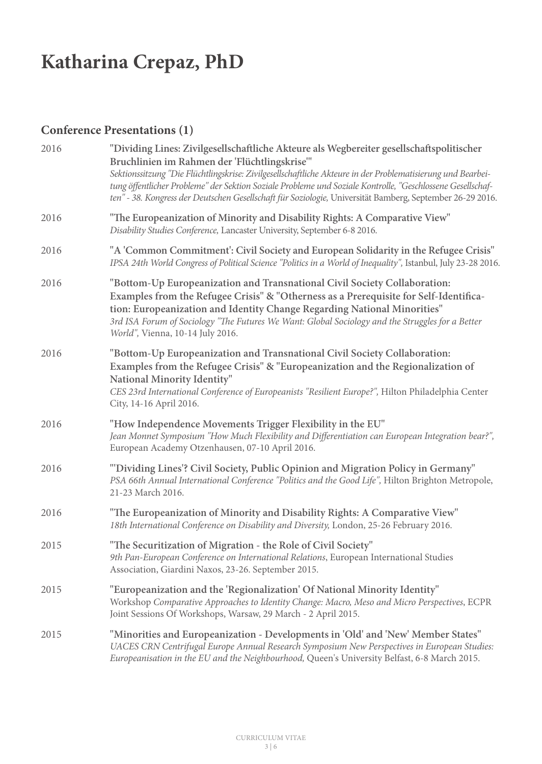## **Conference Presentations (1)**

| 2016 | "Dividing Lines: Zivilgesellschaftliche Akteure als Wegbereiter gesellschaftspolitischer<br>Bruchlinien im Rahmen der 'Flüchtlingskrise'"<br>Sektionssitzung "Die Flüchtlingskrise: Zivilgesellschaftliche Akteure in der Problematisierung und Bearbei-<br>tung öffentlicher Probleme" der Sektion Soziale Probleme und Soziale Kontrolle, "Geschlossene Gesellschaf-<br>ten" - 38. Kongress der Deutschen Gesellschaft für Soziologie, Universität Bamberg, September 26-29 2016. |
|------|-------------------------------------------------------------------------------------------------------------------------------------------------------------------------------------------------------------------------------------------------------------------------------------------------------------------------------------------------------------------------------------------------------------------------------------------------------------------------------------|
| 2016 | "The Europeanization of Minority and Disability Rights: A Comparative View"<br>Disability Studies Conference, Lancaster University, September 6-8 2016.                                                                                                                                                                                                                                                                                                                             |
| 2016 | "A 'Common Commitment': Civil Society and European Solidarity in the Refugee Crisis"<br>IPSA 24th World Congress of Political Science "Politics in a World of Inequality", Istanbul, July 23-28 2016.                                                                                                                                                                                                                                                                               |
| 2016 | "Bottom-Up Europeanization and Transnational Civil Society Collaboration:<br>Examples from the Refugee Crisis" & "Otherness as a Prerequisite for Self-Identifica-<br>tion: Europeanization and Identity Change Regarding National Minorities"<br>3rd ISA Forum of Sociology "The Futures We Want: Global Sociology and the Struggles for a Better<br>World", Vienna, 10-14 July 2016.                                                                                              |
| 2016 | "Bottom-Up Europeanization and Transnational Civil Society Collaboration:<br>Examples from the Refugee Crisis" & "Europeanization and the Regionalization of<br>National Minority Identity"<br>CES 23rd International Conference of Europeanists "Resilient Europe?", Hilton Philadelphia Center<br>City, 14-16 April 2016.                                                                                                                                                         |
| 2016 | "How Independence Movements Trigger Flexibility in the EU"<br>Jean Monnet Symposium "How Much Flexibility and Differentiation can European Integration bear?",<br>European Academy Otzenhausen, 07-10 April 2016.                                                                                                                                                                                                                                                                   |
| 2016 | "'Dividing Lines'? Civil Society, Public Opinion and Migration Policy in Germany"<br>PSA 66th Annual International Conference "Politics and the Good Life", Hilton Brighton Metropole,<br>21-23 March 2016.                                                                                                                                                                                                                                                                         |
| 2016 | "The Europeanization of Minority and Disability Rights: A Comparative View"<br>18th International Conference on Disability and Diversity, London, 25-26 February 2016.                                                                                                                                                                                                                                                                                                              |
| 2015 | "The Securitization of Migration - the Role of Civil Society"<br>9th Pan-European Conference on International Relations, European International Studies<br>Association, Giardini Naxos, 23-26. September 2015.                                                                                                                                                                                                                                                                      |
| 2015 | "Europeanization and the 'Regionalization' Of National Minority Identity"<br>Workshop Comparative Approaches to Identity Change: Macro, Meso and Micro Perspectives, ECPR<br>Joint Sessions Of Workshops, Warsaw, 29 March - 2 April 2015.                                                                                                                                                                                                                                          |
| 2015 | "Minorities and Europeanization - Developments in 'Old' and 'New' Member States"<br>UACES CRN Centrifugal Europe Annual Research Symposium New Perspectives in European Studies:<br>Europeanisation in the EU and the Neighbourhood, Queen's University Belfast, 6-8 March 2015.                                                                                                                                                                                                    |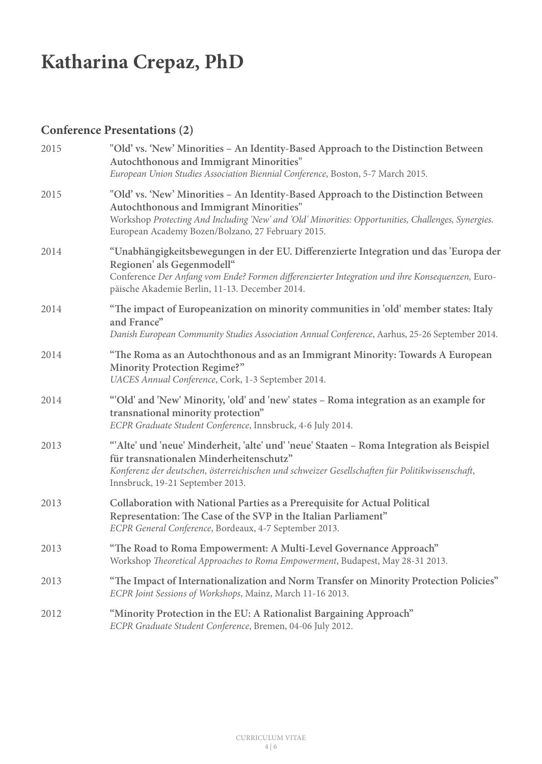## **Conference Presentations (2)**

| 2015 | "Old' vs. 'New' Minorities – An Identity-Based Approach to the Distinction Between<br>Autochthonous and Immigrant Minorities"<br>European Union Studies Association Biennial Conference, Boston, 5-7 March 2015.                                                                          |
|------|-------------------------------------------------------------------------------------------------------------------------------------------------------------------------------------------------------------------------------------------------------------------------------------------|
| 2015 | "Old' vs. 'New' Minorities - An Identity-Based Approach to the Distinction Between<br>Autochthonous and Immigrant Minorities"<br>Workshop Protecting And Including 'New' and 'Old' Minorities: Opportunities, Challenges, Synergies.<br>European Academy Bozen/Bolzano, 27 February 2015. |
| 2014 | "Unabhängigkeitsbewegungen in der EU. Differenzierte Integration und das 'Europa der<br>Regionen' als Gegenmodell"<br>Conference Der Anfang vom Ende? Formen differenzierter Integration und ihre Konsequenzen, Euro-<br>päische Akademie Berlin, 11-13. December 2014.                   |
| 2014 | "The impact of Europeanization on minority communities in 'old' member states: Italy<br>and France"<br>Danish European Community Studies Association Annual Conference, Aarhus, 25-26 September 2014.                                                                                     |
| 2014 | "The Roma as an Autochthonous and as an Immigrant Minority: Towards A European<br><b>Minority Protection Regime?"</b><br>UACES Annual Conference, Cork, 1-3 September 2014.                                                                                                               |
| 2014 | "Old' and 'New' Minority, 'old' and 'new' states - Roma integration as an example for<br>transnational minority protection"<br>ECPR Graduate Student Conference, Innsbruck, 4-6 July 2014.                                                                                                |
| 2013 | "Alte' und 'neue' Minderheit, 'alte' und' 'neue' Staaten - Roma Integration als Beispiel<br>für transnationalen Minderheitenschutz"<br>Konferenz der deutschen, österreichischen und schweizer Gesellschaften für Politikwissenschaft,<br>Innsbruck, 19-21 September 2013.                |
| 2013 | Collaboration with National Parties as a Prerequisite for Actual Political<br>Representation: The Case of the SVP in the Italian Parliament"<br>ECPR General Conference, Bordeaux, 4-7 September 2013.                                                                                    |
| 2013 | "The Road to Roma Empowerment: A Multi-Level Governance Approach"<br>Workshop Theoretical Approaches to Roma Empowerment, Budapest, May 28-31 2013.                                                                                                                                       |
| 2013 | "The Impact of Internationalization and Norm Transfer on Minority Protection Policies"<br>ECPR Joint Sessions of Workshops, Mainz, March 11-16 2013.                                                                                                                                      |
| 2012 | "Minority Protection in the EU: A Rationalist Bargaining Approach"<br>ECPR Graduate Student Conference, Bremen, 04-06 July 2012.                                                                                                                                                          |
|      |                                                                                                                                                                                                                                                                                           |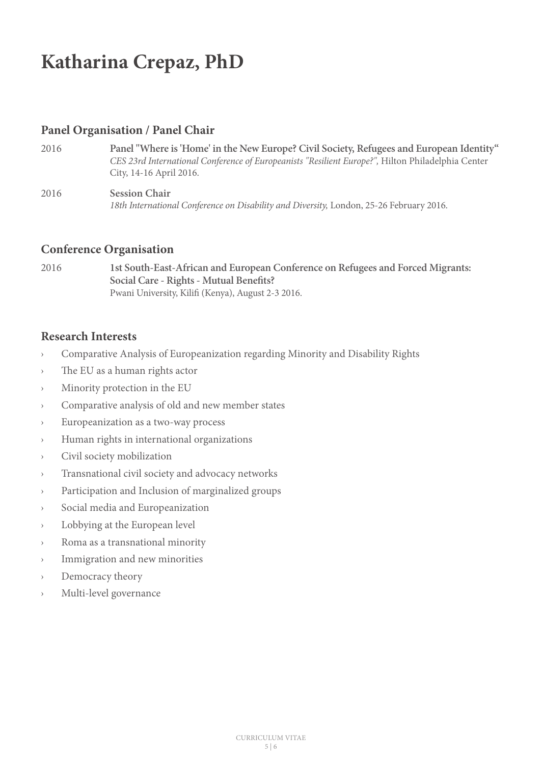### **Panel Organisation / Panel Chair**

- 2016 **Panel "Where is 'Home' in the New Europe? Civil Society, Refugees and European Identity"** *CES 23rd International Conference of Europeanists "Resilient Europe?",* Hilton Philadelphia Center City, 14-16 April 2016.
- 2016 **Session Chair** *18th International Conference on Disability and Diversity,* London, 25-26 February 2016.

#### **Conference Organisation**

2016 **1st South-East-African and European Conference on Refugees and Forced Migrants: Social Care - Rights - Mutual Benefits?** Pwani University, Kilifi (Kenya), August 2-3 2016.

#### **Research Interests**

- › Comparative Analysis of Europeanization regarding Minority and Disability Rights
- › The EU as a human rights actor
- › Minority protection in the EU
- › Comparative analysis of old and new member states
- › Europeanization as a two-way process
- › Human rights in international organizations
- › Civil society mobilization
- › Transnational civil society and advocacy networks
- › Participation and Inclusion of marginalized groups
- › Social media and Europeanization
- › Lobbying at the European level
- Roma as a transnational minority
- › Immigration and new minorities
- › Democracy theory
- Multi-level governance